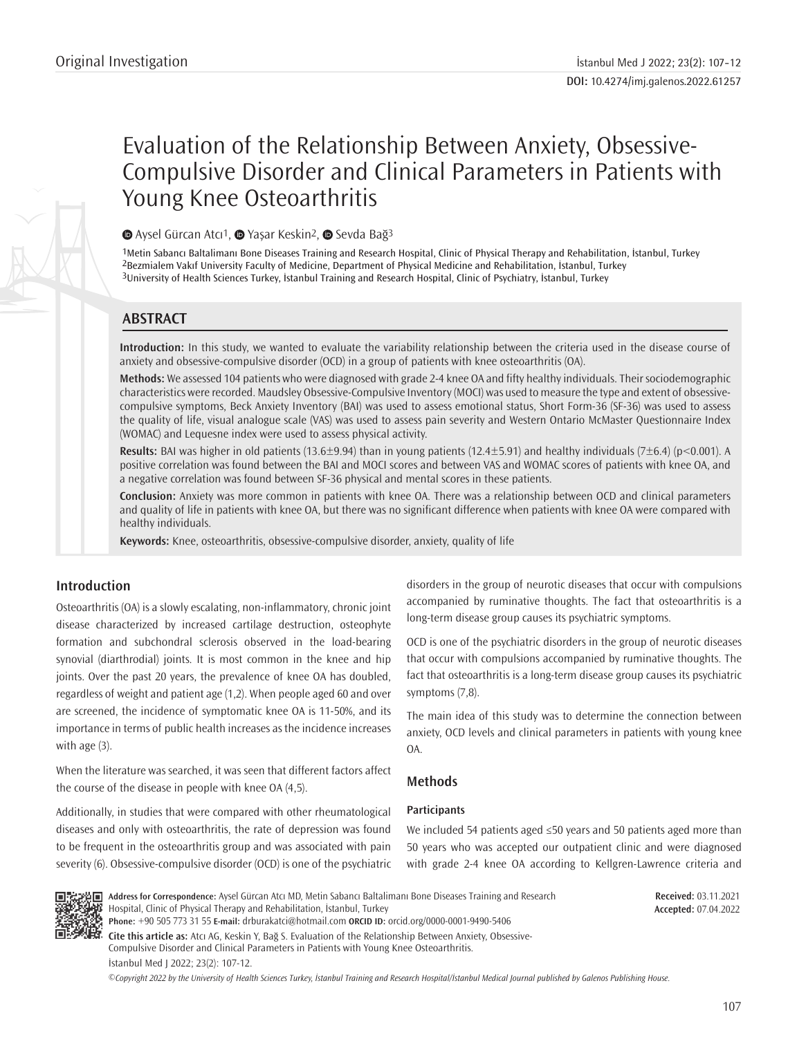# Evaluation of the Relationship Between Anxiety, Obsessive-Compulsive Disorder and Clinical Parameters in Patients with Young Knee Osteoarthritis

# **■**Aysel Gürcan Atcı<sup>1</sup>, ■ Yaşar Keskin<sup>2</sup>, ■ Sevda Bağ<sup>3</sup>

1Metin Sabancı Baltalimanı Bone Diseases Training and Research Hospital, Clinic of Physical Therapy and Rehabilitation, İstanbul, Turkey 2Bezmialem Vakıf University Faculty of Medicine, Department of Physical Medicine and Rehabilitation, İstanbul, Turkey 3University of Health Sciences Turkey, İstanbul Training and Research Hospital, Clinic of Psychiatry, İstanbul, Turkey

# **ABSTRACT**

**Introduction:** In this study, we wanted to evaluate the variability relationship between the criteria used in the disease course of anxiety and obsessive-compulsive disorder (OCD) in a group of patients with knee osteoarthritis (OA).

**Methods:** We assessed 104 patients who were diagnosed with grade 2-4 knee OA and fifty healthy individuals. Their sociodemographic characteristics were recorded. Maudsley Obsessive-Compulsive Inventory (MOCI) was used to measure the type and extent of obsessivecompulsive symptoms, Beck Anxiety Inventory (BAI) was used to assess emotional status, Short Form-36 (SF-36) was used to assess the quality of life, visual analogue scale (VAS) was used to assess pain severity and Western Ontario McMaster Questionnaire Index (WOMAC) and Lequesne index were used to assess physical activity.

**Results:** BAI was higher in old patients (13.6±9.94) than in young patients (12.4±5.91) and healthy individuals (7±6.4) (p<0.001). A positive correlation was found between the BAI and MOCI scores and between VAS and WOMAC scores of patients with knee OA, and a negative correlation was found between SF-36 physical and mental scores in these patients.

**Conclusion:** Anxiety was more common in patients with knee OA. There was a relationship between OCD and clinical parameters and quality of life in patients with knee OA, but there was no significant difference when patients with knee OA were compared with healthy individuals.

**Keywords:** Knee, osteoarthritis, obsessive-compulsive disorder, anxiety, quality of life

# **Introduction**

Osteoarthritis (OA) is a slowly escalating, non-inflammatory, chronic joint disease characterized by increased cartilage destruction, osteophyte formation and subchondral sclerosis observed in the load-bearing synovial (diarthrodial) joints. It is most common in the knee and hip joints. Over the past 20 years, the prevalence of knee OA has doubled, regardless of weight and patient age (1,2). When people aged 60 and over are screened, the incidence of symptomatic knee OA is 11-50%, and its importance in terms of public health increases as the incidence increases with age (3).

When the literature was searched, it was seen that different factors affect the course of the disease in people with knee OA (4,5).

Additionally, in studies that were compared with other rheumatological diseases and only with osteoarthritis, the rate of depression was found to be frequent in the osteoarthritis group and was associated with pain severity (6). Obsessive-compulsive disorder (OCD) is one of the psychiatric disorders in the group of neurotic diseases that occur with compulsions accompanied by ruminative thoughts. The fact that osteoarthritis is a long-term disease group causes its psychiatric symptoms.

OCD is one of the psychiatric disorders in the group of neurotic diseases that occur with compulsions accompanied by ruminative thoughts. The fact that osteoarthritis is a long-term disease group causes its psychiatric symptoms (7,8).

The main idea of this study was to determine the connection between anxiety, OCD levels and clinical parameters in patients with young knee OA.

# **Methods**

## **Participants**

We included 54 patients aged ≤50 years and 50 patients aged more than 50 years who was accepted our outpatient clinic and were diagnosed with grade 2-4 knee OA according to Kellgren-Lawrence criteria and



**Address for Correspondence:** Aysel Gürcan Atcı MD, Metin Sabancı Baltalimanı Bone Diseases Training and Research Hospital, Clinic of Physical Therapy and Rehabilitation, İstanbul, Turkey **Phone:** +90 505 773 31 55 **E-mail:** drburakatci@hotmail.com **ORCID ID:** orcid.org/0000-0001-9490-5406

**Cite this article as:** Atcı AG, Keskin Y, Bağ S. Evaluation of the Relationship Between Anxiety, Obsessive-Compulsive Disorder and Clinical Parameters in Patients with Young Knee Osteoarthritis.

İstanbul Med J 2022; 23(2): 107-12.

*©*Copyright 2022 by the University of Health Sciences Turkey, İstanbul Training and Research Hospital/İstanbul Medical Journal published by Galenos Publishing House.

**Received:** 03.11.2021 **Accepted:** 07.04.2022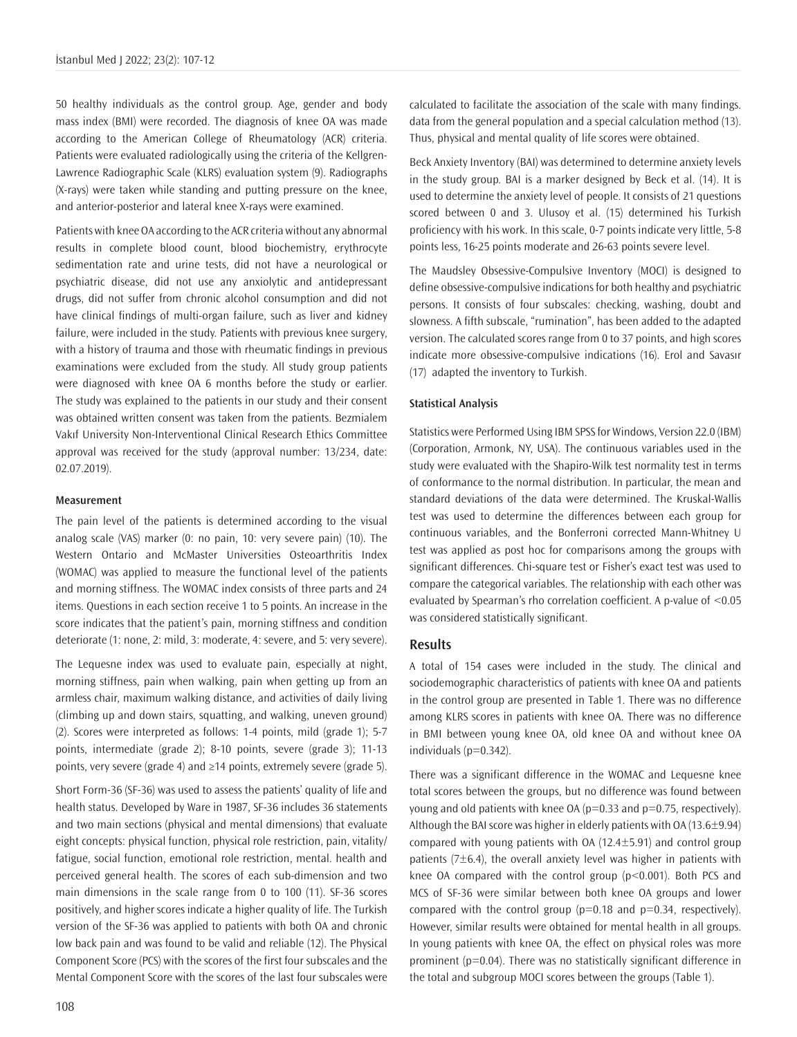50 healthy individuals as the control group. Age, gender and body mass index (BMI) were recorded. The diagnosis of knee OA was made according to the American College of Rheumatology (ACR) criteria. Patients were evaluated radiologically using the criteria of the Kellgren-Lawrence Radiographic Scale (KLRS) evaluation system (9). Radiographs (X-rays) were taken while standing and putting pressure on the knee, and anterior-posterior and lateral knee X-rays were examined.

Patients with knee OA according to the ACR criteria without any abnormal results in complete blood count, blood biochemistry, erythrocyte sedimentation rate and urine tests, did not have a neurological or psychiatric disease, did not use any anxiolytic and antidepressant drugs, did not suffer from chronic alcohol consumption and did not have clinical findings of multi-organ failure, such as liver and kidney failure, were included in the study. Patients with previous knee surgery, with a history of trauma and those with rheumatic findings in previous examinations were excluded from the study. All study group patients were diagnosed with knee OA 6 months before the study or earlier. The study was explained to the patients in our study and their consent was obtained written consent was taken from the patients. Bezmialem Vakıf University Non-Interventional Clinical Research Ethics Committee approval was received for the study (approval number: 13/234, date: 02.07.2019).

#### **Measurement**

The pain level of the patients is determined according to the visual analog scale (VAS) marker (0: no pain, 10: very severe pain) (10). The Western Ontario and McMaster Universities Osteoarthritis Index (WOMAC) was applied to measure the functional level of the patients and morning stiffness. The WOMAC index consists of three parts and 24 items. Questions in each section receive 1 to 5 points. An increase in the score indicates that the patient's pain, morning stiffness and condition deteriorate (1: none, 2: mild, 3: moderate, 4: severe, and 5: very severe).

The Lequesne index was used to evaluate pain, especially at night, morning stiffness, pain when walking, pain when getting up from an armless chair, maximum walking distance, and activities of daily living (climbing up and down stairs, squatting, and walking, uneven ground) (2). Scores were interpreted as follows: 1-4 points, mild (grade 1); 5-7 points, intermediate (grade 2); 8-10 points, severe (grade 3); 11-13 points, very severe (grade 4) and  $\geq 14$  points, extremely severe (grade 5).

Short Form-36 (SF-36) was used to assess the patients' quality of life and health status. Developed by Ware in 1987, SF-36 includes 36 statements and two main sections (physical and mental dimensions) that evaluate eight concepts: physical function, physical role restriction, pain, vitality/ fatigue, social function, emotional role restriction, mental. health and perceived general health. The scores of each sub-dimension and two main dimensions in the scale range from 0 to 100 (11). SF-36 scores positively, and higher scores indicate a higher quality of life. The Turkish version of the SF-36 was applied to patients with both OA and chronic low back pain and was found to be valid and reliable (12). The Physical Component Score (PCS) with the scores of the first four subscales and the Mental Component Score with the scores of the last four subscales were

calculated to facilitate the association of the scale with many findings. data from the general population and a special calculation method (13). Thus, physical and mental quality of life scores were obtained.

Beck Anxiety Inventory (BAI) was determined to determine anxiety levels in the study group. BAI is a marker designed by Beck et al. (14). It is used to determine the anxiety level of people. It consists of 21 questions scored between 0 and 3. Ulusoy et al. (15) determined his Turkish proficiency with his work. In this scale, 0-7 points indicate very little, 5-8 points less, 16-25 points moderate and 26-63 points severe level.

The Maudsley Obsessive-Compulsive Inventory (MOCI) is designed to define obsessive-compulsive indications for both healthy and psychiatric persons. It consists of four subscales: checking, washing, doubt and slowness. A fifth subscale, "rumination", has been added to the adapted version. The calculated scores range from 0 to 37 points, and high scores indicate more obsessive-compulsive indications (16). Erol and Savasır (17) adapted the inventory to Turkish.

#### **Statistical Analysis**

Statistics were Performed Using IBM SPSS for Windows, Version 22.0 (IBM) (Corporation, Armonk, NY, USA). The continuous variables used in the study were evaluated with the Shapiro-Wilk test normality test in terms of conformance to the normal distribution. In particular, the mean and standard deviations of the data were determined. The Kruskal-Wallis test was used to determine the differences between each group for continuous variables, and the Bonferroni corrected Mann-Whitney U test was applied as post hoc for comparisons among the groups with significant differences. Chi-square test or Fisher's exact test was used to compare the categorical variables. The relationship with each other was evaluated by Spearman's rho correlation coefficient. A p-value of <0.05 was considered statistically significant.

## **Results**

A total of 154 cases were included in the study. The clinical and sociodemographic characteristics of patients with knee OA and patients in the control group are presented in Table 1. There was no difference among KLRS scores in patients with knee OA. There was no difference in BMI between young knee OA, old knee OA and without knee OA individuals (p=0.342).

There was a significant difference in the WOMAC and Lequesne knee total scores between the groups, but no difference was found between young and old patients with knee OA ( $p=0.33$  and  $p=0.75$ , respectively). Although the BAI score was higher in elderly patients with OA (13.6±9.94) compared with young patients with OA (12.4±5.91) and control group patients  $(7\pm6.4)$ , the overall anxiety level was higher in patients with knee OA compared with the control group (p<0.001). Both PCS and MCS of SF-36 were similar between both knee OA groups and lower compared with the control group ( $p=0.18$  and  $p=0.34$ , respectively). However, similar results were obtained for mental health in all groups. In young patients with knee OA, the effect on physical roles was more prominent (p=0.04). There was no statistically significant difference in the total and subgroup MOCI scores between the groups (Table 1).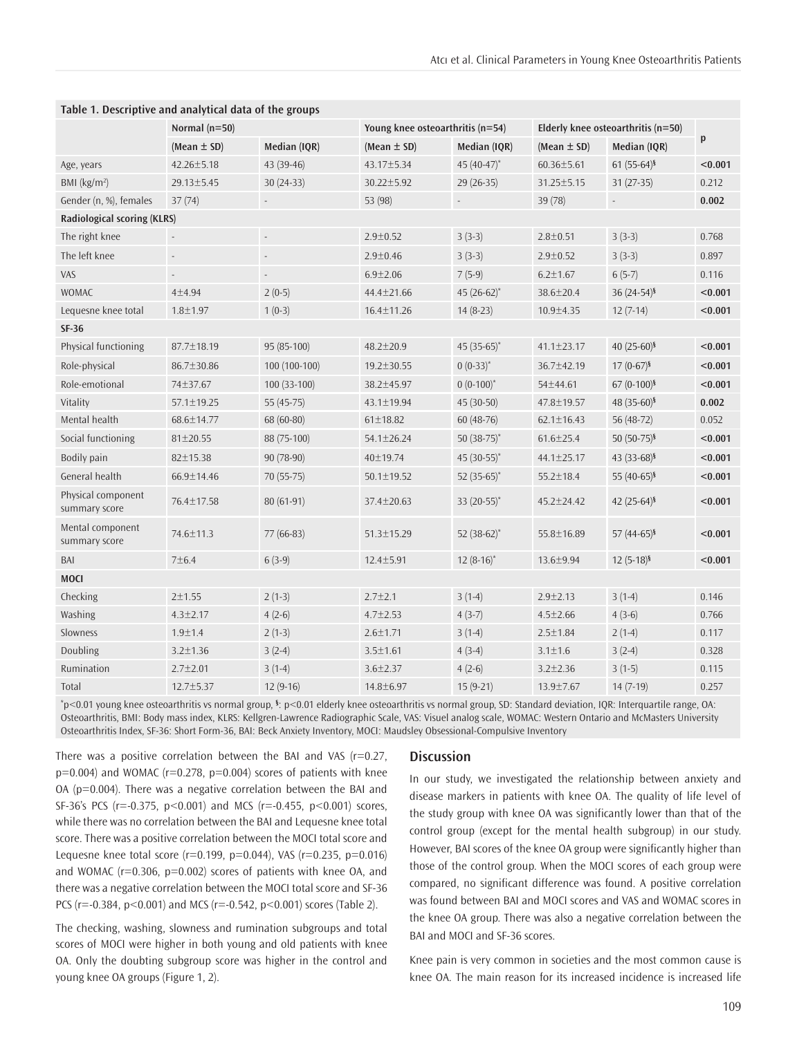| Table 1. Descriptive and analytical data of the groups |                          |                          |                                  |                  |                                    |                           |         |
|--------------------------------------------------------|--------------------------|--------------------------|----------------------------------|------------------|------------------------------------|---------------------------|---------|
|                                                        | Normal $(n=50)$          |                          | Young knee osteoarthritis (n=54) |                  | Elderly knee osteoarthritis (n=50) |                           |         |
|                                                        | (Mean $\pm$ SD)          | Median (IQR)             | (Mean $\pm$ SD)                  | Median (IQR)     | (Mean $\pm$ SD)                    | Median (IQR)              | p       |
| Age, years                                             | $42.26 \pm 5.18$         | 43 (39-46)               | 43.17±5.34                       | 45 $(40-47)$ *   | $60.36 \pm 5.61$                   | $61(55-64)^{§}$           | < 0.001 |
| BMI (kg/m <sup>2</sup> )                               | 29.13±5.45               | $30(24-33)$              | $30.22 \pm 5.92$                 | 29 (26-35)       | 31.25±5.15                         | $31(27-35)$               | 0.212   |
| Gender (n, %), females                                 | 37(74)                   |                          | 53 (98)                          |                  | 39 (78)                            |                           | 0.002   |
| Radiological scoring (KLRS)                            |                          |                          |                                  |                  |                                    |                           |         |
| The right knee                                         | $\overline{\phantom{a}}$ | $\overline{\phantom{a}}$ | $2.9 \pm 0.52$                   | $3(3-3)$         | $2.8 \pm 0.51$                     | $3(3-3)$                  | 0.768   |
| The left knee                                          | $\overline{\phantom{a}}$ | $\overline{a}$           | $2.9 \pm 0.46$                   | $3(3-3)$         | $2.9 \pm 0.52$                     | $3(3-3)$                  | 0.897   |
| VAS                                                    | $\overline{\phantom{a}}$ | $\overline{\phantom{a}}$ | $6.9 \pm 2.06$                   | $7(5-9)$         | $6.2 \pm 1.67$                     | $6(5-7)$                  | 0.116   |
| <b>WOMAC</b>                                           | 4±4.94                   | $2(0-5)$                 | 44.4±21.66                       | 45 (26-62)*      | 38.6±20.4                          | 36 $(24-54)^{5}$          | < 0.001 |
| Lequesne knee total                                    | $1.8 + 1.97$             | $1(0-3)$                 | 16.4±11.26                       | $14(8-23)$       | 10.9±4.35                          | $12(7-14)$                | < 0.001 |
| <b>SF-36</b>                                           |                          |                          |                                  |                  |                                    |                           |         |
| Physical functioning                                   | 87.7±18.19               | 95 (85-100)              | $48.2 \pm 20.9$                  | 45 (35-65)*      | 41.1±23.17                         | 40 $(25-60)$ <sup>§</sup> | < 0.001 |
| Role-physical                                          | 86.7±30.86               | 100 (100-100)            | $19.2 \pm 30.55$                 | $0(0-33)^{*}$    | 36.7±42.19                         | $17(0-67)^{5}$            | < 0.001 |
| Role-emotional                                         | 74±37.67                 | $100(33-100)$            | 38.2±45.97                       | $0(0-100)^{*}$   | 54±44.61                           | $67(0-100)$ §             | < 0.001 |
| Vitality                                               | 57.1±19.25               | 55 (45-75)               | 43.1±19.94                       | 45 (30-50)       | 47.8±19.57                         | 48 $(35-60)$ <sup>§</sup> | 0.002   |
| Mental health                                          | 68.6±14.77               | 68 (60-80)               | $61 \pm 18.82$                   | $60(48-76)$      | $62.1 \pm 16.43$                   | 56 (48-72)                | 0.052   |
| Social functioning                                     | $81 \pm 20.55$           | 88 (75-100)              | 54.1±26.24                       | 50 $(38-75)^*$   | $61.6 \pm 25.4$                    | $50(50-75)^{5}$           | < 0.001 |
| Bodily pain                                            | 82±15.38                 | 90 (78-90)               | 40±19.74                         | 45 (30-55)*      | 44.1±25.17                         | 43 (33-68) <sup>§</sup>   | < 0.001 |
| General health                                         | $66.9 \pm 14.46$         | 70 (55-75)               | $50.1 \pm 19.52$                 | 52 $(35-65)^*$   | $55.2 \pm 18.4$                    | 55 (40-65)§               | < 0.001 |
| Physical component<br>summary score                    | 76.4±17.58               | $80(61-91)$              | 37.4±20.63                       | 33 $(20-55)^*$   | $45.2 \pm 24.42$                   | 42 $(25-64)$ <sup>§</sup> | < 0.001 |
| Mental component<br>summary score                      | 74.6±11.3                | $77(66-83)$              | 51.3±15.29                       | 52 $(38-62)^{*}$ | 55.8±16.89                         | 57 (44-65) <sup>§</sup>   | < 0.001 |
| BAI                                                    | 7±6.4                    | $6(3-9)$                 | $12.4 \pm 5.91$                  | $12(8-16)^{*}$   | 13.6±9.94                          | $12(5-18)^{5}$            | < 0.001 |
| <b>MOCI</b>                                            |                          |                          |                                  |                  |                                    |                           |         |
| Checking                                               | 2±1.55                   | $2(1-3)$                 | $2.7 \pm 2.1$                    | $3(1-4)$         | $2.9 \pm 2.13$                     | $3(1-4)$                  | 0.146   |
| Washing                                                | $4.3 \pm 2.17$           | $4(2-6)$                 | $4.7 \pm 2.53$                   | $4(3-7)$         | $4.5 \pm 2.66$                     | $4(3-6)$                  | 0.766   |
| Slowness                                               | $1.9 \pm 1.4$            | $2(1-3)$                 | $2.6 \pm 1.71$                   | $3(1-4)$         | $2.5 \pm 1.84$                     | $2(1-4)$                  | 0.117   |
| Doubling                                               | $3.2 \pm 1.36$           | $3(2-4)$                 | $3.5 \pm 1.61$                   | $4(3-4)$         | $3.1 \pm 1.6$                      | $3(2-4)$                  | 0.328   |
| Rumination                                             | $2.7 \pm 2.01$           | $3(1-4)$                 | $3.6 \pm 2.37$                   | $4(2-6)$         | $3.2 \pm 2.36$                     | $3(1-5)$                  | 0.115   |
| Total                                                  | 12.7±5.37                | $12(9-16)$               | 14.8±6.97                        | $15(9-21)$       | $13.9 \pm 7.67$                    | $14(7-19)$                | 0.257   |

**Table 1. Descriptive and analytical data of the groups**

 $\degree$ p<0.01 young knee osteoarthritis vs normal group, <sup>§</sup>: p<0.01 elderly knee osteoarthritis vs normal group, SD: Standard deviation, IQR: Interquartile range, OA: Osteoarthritis, BMI: Body mass index, KLRS: Kellgren-Lawrence Radiographic Scale, VAS: Visuel analog scale, WOMAC: Western Ontario and McMasters University Osteoarthritis Index, SF-36: Short Form-36, BAI: Beck Anxiety Inventory, MOCI: Maudsley Obsessional-Compulsive Inventory

There was a positive correlation between the BAI and VAS  $(r=0.27,$  $p=0.004$ ) and WOMAC ( $r=0.278$ ,  $p=0.004$ ) scores of patients with knee OA (p=0.004). There was a negative correlation between the BAI and SF-36's PCS (r=-0.375, p<0.001) and MCS (r=-0.455, p<0.001) scores, while there was no correlation between the BAI and Lequesne knee total score. There was a positive correlation between the MOCI total score and Lequesne knee total score ( $r=0.199$ ,  $p=0.044$ ), VAS ( $r=0.235$ ,  $p=0.016$ ) and WOMAC (r=0.306, p=0.002) scores of patients with knee OA, and there was a negative correlation between the MOCI total score and SF-36 PCS (r=-0.384, p<0.001) and MCS (r=-0.542, p<0.001) scores (Table 2).

The checking, washing, slowness and rumination subgroups and total scores of MOCI were higher in both young and old patients with knee OA. Only the doubting subgroup score was higher in the control and young knee OA groups (Figure 1, 2).

#### **Discussion**

In our study, we investigated the relationship between anxiety and disease markers in patients with knee OA. The quality of life level of the study group with knee OA was significantly lower than that of the control group (except for the mental health subgroup) in our study. However, BAI scores of the knee OA group were significantly higher than those of the control group. When the MOCI scores of each group were compared, no significant difference was found. A positive correlation was found between BAI and MOCI scores and VAS and WOMAC scores in the knee OA group. There was also a negative correlation between the BAI and MOCI and SF-36 scores.

Knee pain is very common in societies and the most common cause is knee OA. The main reason for its increased incidence is increased life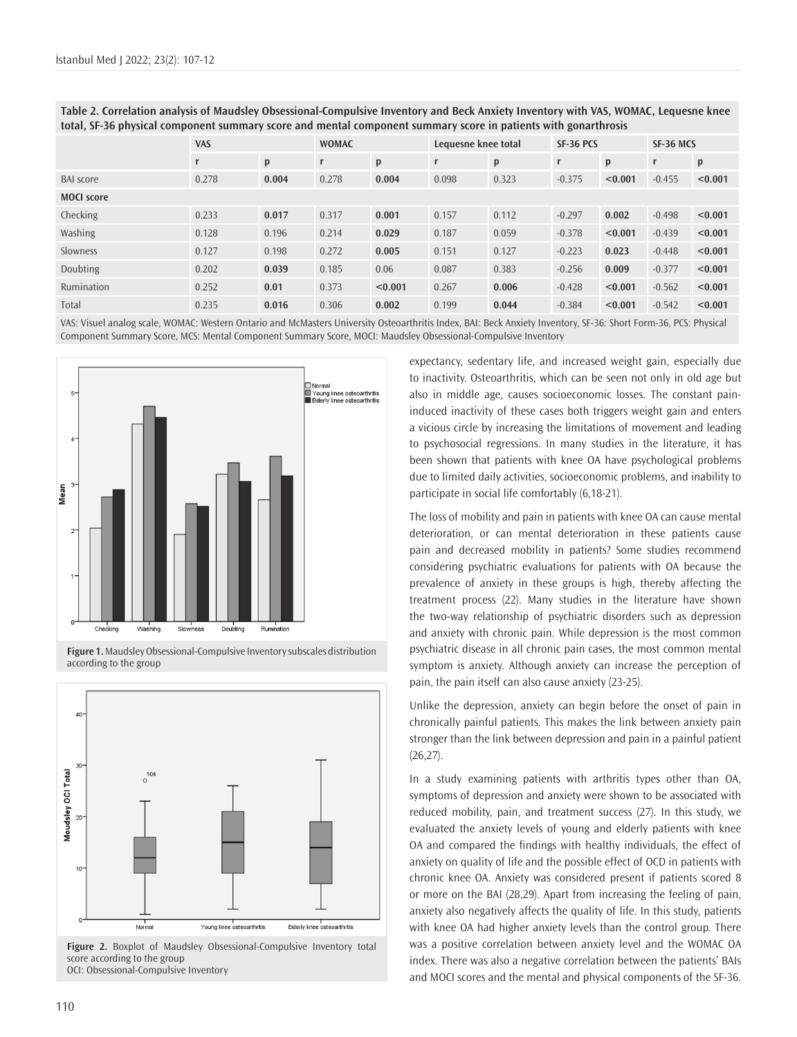|                   | <b>VAS</b> |       | <b>WOMAC</b> |         | Lequesne knee total |       | SF-36 PCS |         | SF-36 MCS    |         |
|-------------------|------------|-------|--------------|---------|---------------------|-------|-----------|---------|--------------|---------|
|                   |            | p     | r            | p       | r                   | p     | r         | p       | $\mathbf{r}$ | p       |
| <b>BAI</b> score  | 0.278      | 0.004 | 0.278        | 0.004   | 0.098               | 0.323 | $-0.375$  | < 0.001 | $-0.455$     | < 0.001 |
| <b>MOCI</b> score |            |       |              |         |                     |       |           |         |              |         |
| Checking          | 0.233      | 0.017 | 0.317        | 0.001   | 0.157               | 0.112 | $-0.297$  | 0.002   | $-0.498$     | < 0.001 |
| Washing           | 0.128      | 0.196 | 0.214        | 0.029   | 0.187               | 0.059 | $-0.378$  | < 0.001 | $-0.439$     | < 0.001 |
| Slowness          | 0.127      | 0.198 | 0.272        | 0.005   | 0.151               | 0.127 | $-0.223$  | 0.023   | $-0.448$     | < 0.001 |
| Doubting          | 0.202      | 0.039 | 0.185        | 0.06    | 0.087               | 0.383 | $-0.256$  | 0.009   | $-0.377$     | < 0.001 |
| Rumination        | 0.252      | 0.01  | 0.373        | < 0.001 | 0.267               | 0.006 | $-0.428$  | < 0.001 | $-0.562$     | < 0.001 |
| Total             | 0.235      | 0.016 | 0.306        | 0.002   | 0.199               | 0.044 | $-0.384$  | < 0.001 | $-0.542$     | < 0.001 |

**Table 2. Correlation analysis of Maudsley Obsessional-Compulsive Inventory and Beck Anxiety Inventory with VAS, WOMAC, Lequesne knee total, SF-36 physical component summary score and mental component summary score in patients with gonarthrosis**

VAS: Visuel analog scale, WOMAC: Western Ontario and McMasters University Osteoarthritis Index, BAI: Beck Anxiety Inventory, SF-36: Short Form-36, PCS: Physical Component Summary Score, MCS: Mental Component Summary Score, MOCI: Maudsley Obsessional-Compulsive Inventory



**Figure 1.** Maudsley Obsessional-Compulsive Inventory subscales distribution according to the group



**Figure 2.** Boxplot of Maudsley Obsessional-Compulsive Inventory total score according to the group OCI: Obsessional-Compulsive Inventory

expectancy, sedentary life, and increased weight gain, especially due to inactivity. Osteoarthritis, which can be seen not only in old age but also in middle age, causes socioeconomic losses. The constant paininduced inactivity of these cases both triggers weight gain and enters a vicious circle by increasing the limitations of movement and leading to psychosocial regressions. In many studies in the literature, it has been shown that patients with knee OA have psychological problems due to limited daily activities, socioeconomic problems, and inability to participate in social life comfortably (6,18-21).

The loss of mobility and pain in patients with knee OA can cause mental deterioration, or can mental deterioration in these patients cause pain and decreased mobility in patients? Some studies recommend considering psychiatric evaluations for patients with OA because the prevalence of anxiety in these groups is high, thereby affecting the treatment process (22). Many studies in the literature have shown the two-way relationship of psychiatric disorders such as depression and anxiety with chronic pain. While depression is the most common psychiatric disease in all chronic pain cases, the most common mental symptom is anxiety. Although anxiety can increase the perception of pain, the pain itself can also cause anxiety (23-25).

Unlike the depression, anxiety can begin before the onset of pain in chronically painful patients. This makes the link between anxiety pain stronger than the link between depression and pain in a painful patient  $(26, 27)$ .

In a study examining patients with arthritis types other than OA, symptoms of depression and anxiety were shown to be associated with reduced mobility, pain, and treatment success (27). In this study, we evaluated the anxiety levels of young and elderly patients with knee OA and compared the findings with healthy individuals, the effect of anxiety on quality of life and the possible effect of OCD in patients with chronic knee OA. Anxiety was considered present if patients scored 8 or more on the BAI (28,29). Apart from increasing the feeling of pain, anxiety also negatively affects the quality of life. In this study, patients with knee OA had higher anxiety levels than the control group. There was a positive correlation between anxiety level and the WOMAC OA index. There was also a negative correlation between the patients' BAIs and MOCI scores and the mental and physical components of the SF-36.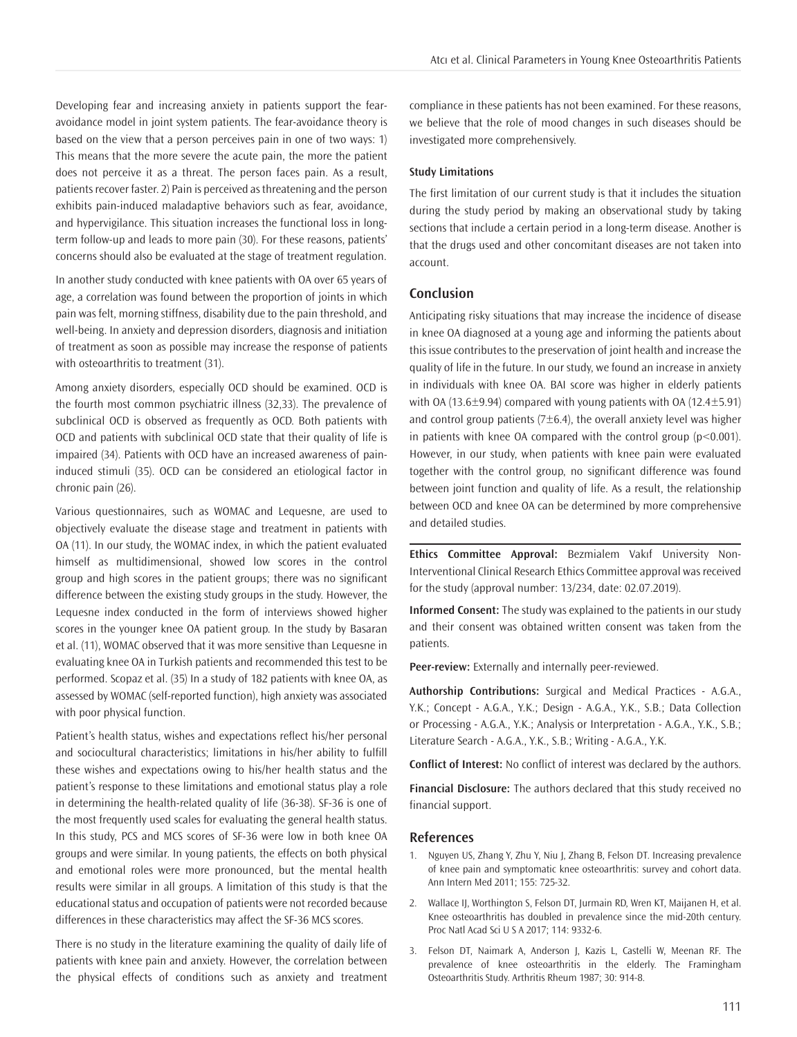Developing fear and increasing anxiety in patients support the fearavoidance model in joint system patients. The fear-avoidance theory is based on the view that a person perceives pain in one of two ways: 1) This means that the more severe the acute pain, the more the patient does not perceive it as a threat. The person faces pain. As a result, patients recover faster. 2) Pain is perceived as threatening and the person exhibits pain-induced maladaptive behaviors such as fear, avoidance, and hypervigilance. This situation increases the functional loss in longterm follow-up and leads to more pain (30). For these reasons, patients' concerns should also be evaluated at the stage of treatment regulation.

In another study conducted with knee patients with OA over 65 years of age, a correlation was found between the proportion of joints in which pain was felt, morning stiffness, disability due to the pain threshold, and well-being. In anxiety and depression disorders, diagnosis and initiation of treatment as soon as possible may increase the response of patients with osteoarthritis to treatment (31).

Among anxiety disorders, especially OCD should be examined. OCD is the fourth most common psychiatric illness (32,33). The prevalence of subclinical OCD is observed as frequently as OCD. Both patients with OCD and patients with subclinical OCD state that their quality of life is impaired (34). Patients with OCD have an increased awareness of paininduced stimuli (35). OCD can be considered an etiological factor in chronic pain (26).

Various questionnaires, such as WOMAC and Lequesne, are used to objectively evaluate the disease stage and treatment in patients with OA (11). In our study, the WOMAC index, in which the patient evaluated himself as multidimensional, showed low scores in the control group and high scores in the patient groups; there was no significant difference between the existing study groups in the study. However, the Lequesne index conducted in the form of interviews showed higher scores in the younger knee OA patient group. In the study by Basaran et al. (11), WOMAC observed that it was more sensitive than Lequesne in evaluating knee OA in Turkish patients and recommended this test to be performed. Scopaz et al. (35) In a study of 182 patients with knee OA, as assessed by WOMAC (self-reported function), high anxiety was associated with poor physical function.

Patient's health status, wishes and expectations reflect his/her personal and sociocultural characteristics; limitations in his/her ability to fulfill these wishes and expectations owing to his/her health status and the patient's response to these limitations and emotional status play a role in determining the health-related quality of life (36-38). SF-36 is one of the most frequently used scales for evaluating the general health status. In this study, PCS and MCS scores of SF-36 were low in both knee OA groups and were similar. In young patients, the effects on both physical and emotional roles were more pronounced, but the mental health results were similar in all groups. A limitation of this study is that the educational status and occupation of patients were not recorded because differences in these characteristics may affect the SF-36 MCS scores.

There is no study in the literature examining the quality of daily life of patients with knee pain and anxiety. However, the correlation between the physical effects of conditions such as anxiety and treatment compliance in these patients has not been examined. For these reasons, we believe that the role of mood changes in such diseases should be investigated more comprehensively.

#### **Study Limitations**

The first limitation of our current study is that it includes the situation during the study period by making an observational study by taking sections that include a certain period in a long-term disease. Another is that the drugs used and other concomitant diseases are not taken into account.

#### **Conclusion**

Anticipating risky situations that may increase the incidence of disease in knee OA diagnosed at a young age and informing the patients about this issue contributes to the preservation of joint health and increase the quality of life in the future. In our study, we found an increase in anxiety in individuals with knee OA. BAI score was higher in elderly patients with OA (13.6 $\pm$ 9.94) compared with young patients with OA (12.4 $\pm$ 5.91) and control group patients  $(7±6.4)$ , the overall anxiety level was higher in patients with knee OA compared with the control group  $(p<0.001)$ . However, in our study, when patients with knee pain were evaluated together with the control group, no significant difference was found between joint function and quality of life. As a result, the relationship between OCD and knee OA can be determined by more comprehensive and detailed studies.

**Ethics Committee Approval:** Bezmialem Vakıf University Non-Interventional Clinical Research Ethics Committee approval was received for the study (approval number: 13/234, date: 02.07.2019).

**Informed Consent:** The study was explained to the patients in our study and their consent was obtained written consent was taken from the patients.

**Peer-review:** Externally and internally peer-reviewed.

**Authorship Contributions:** Surgical and Medical Practices - A.G.A., Y.K.; Concept - A.G.A., Y.K.; Design - A.G.A., Y.K., S.B.; Data Collection or Processing - A.G.A., Y.K.; Analysis or Interpretation - A.G.A., Y.K., S.B.; Literature Search - A.G.A., Y.K., S.B.; Writing - A.G.A., Y.K.

**Conflict of Interest:** No conflict of interest was declared by the authors.

**Financial Disclosure:** The authors declared that this study received no financial support.

## **References**

- 1. Nguyen US, Zhang Y, Zhu Y, Niu J, Zhang B, Felson DT. Increasing prevalence of knee pain and symptomatic knee osteoarthritis: survey and cohort data. Ann Intern Med 2011; 155: 725-32.
- 2. Wallace IJ, Worthington S, Felson DT, Jurmain RD, Wren KT, Maijanen H, et al. Knee osteoarthritis has doubled in prevalence since the mid-20th century. Proc Natl Acad Sci U S A 2017; 114: 9332-6.
- 3. Felson DT, Naimark A, Anderson J, Kazis L, Castelli W, Meenan RF. The prevalence of knee osteoarthritis in the elderly. The Framingham Osteoarthritis Study. Arthritis Rheum 1987; 30: 914-8.